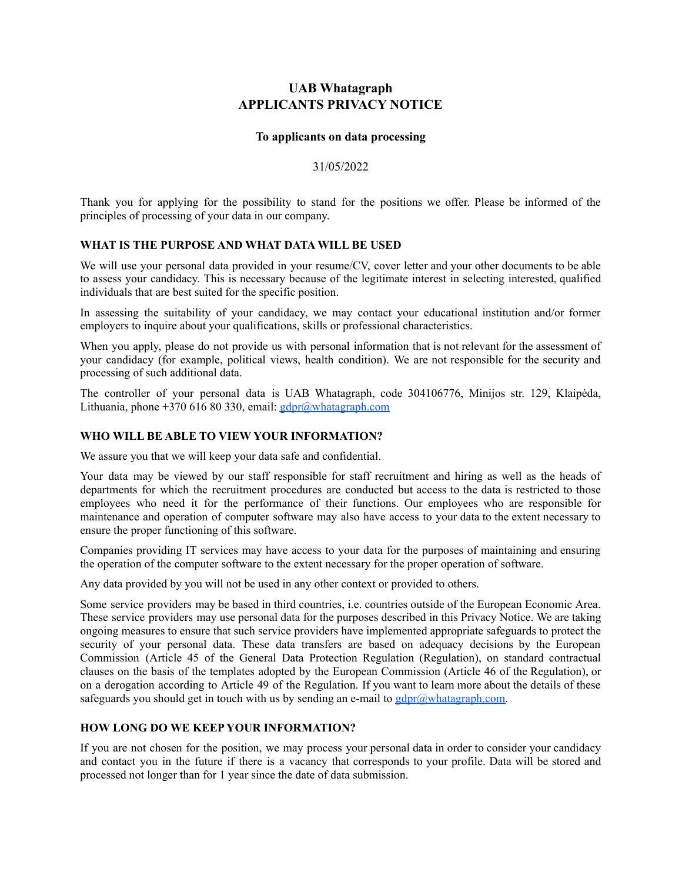# **UAB Whatagraph APPLICANTS PRIVACY NOTICE**

#### **To applicants on data processing**

#### 31/05/2022

Thank you for applying for the possibility to stand for the positions we offer. Please be informed of the principles of processing of your data in our company.

### **WHAT IS THE PURPOSE AND WHAT DATA WILL BE USED**

We will use your personal data provided in your resume/CV, cover letter and your other documents to be able to assess your candidacy. This is necessary because of the legitimate interest in selecting interested, qualified individuals that are best suited for the specific position.

In assessing the suitability of your candidacy, we may contact your educational institution and/or former employers to inquire about your qualifications, skills or professional characteristics.

When you apply, please do not provide us with personal information that is not relevant for the assessment of your candidacy (for example, political views, health condition). We are not responsible for the security and processing of such additional data.

The controller of your personal data is UAB Whatagraph, code 304106776, Minijos str. 129, Klaipėda, Lithuania, phone  $+370,616,80,330$ , email: [gdpr@whatagraph.com](mailto:gdpr@whatacraph.com)

### **WHO WILL BE ABLE TO VIEW YOUR INFORMATION?**

We assure you that we will keep your data safe and confidential.

Your data may be viewed by our staff responsible for staff recruitment and hiring as well as the heads of departments for which the recruitment procedures are conducted but access to the data is restricted to those employees who need it for the performance of their functions. Our employees who are responsible for maintenance and operation of computer software may also have access to your data to the extent necessary to ensure the proper functioning of this software.

Companies providing IT services may have access to your data for the purposes of maintaining and ensuring the operation of the computer software to the extent necessary for the proper operation of software.

Any data provided by you will not be used in any other context or provided to others.

Some service providers may be based in third countries, i.e. countries outside of the European Economic Area. These service providers may use personal data for the purposes described in this Privacy Notice. We are taking ongoing measures to ensure that such service providers have implemented appropriate safeguards to protect the security of your personal data. These data transfers are based on adequacy decisions by the European Commission (Article 45 of the General Data Protection Regulation (Regulation), on standard contractual clauses on the basis of the templates adopted by the European Commission (Article 46 of the Regulation), or on a derogation according to Article 49 of the Regulation. If you want to learn more about the details of these safeguards you should get in touch with us by sending an e-mail to  $gdpr@whatagraph.com$ .

# **HOW LONG DO WE KEEP YOUR INFORMATION?**

If you are not chosen for the position, we may process your personal data in order to consider your candidacy and contact you in the future if there is a vacancy that corresponds to your profile. Data will be stored and processed not longer than for 1 year since the date of data submission.